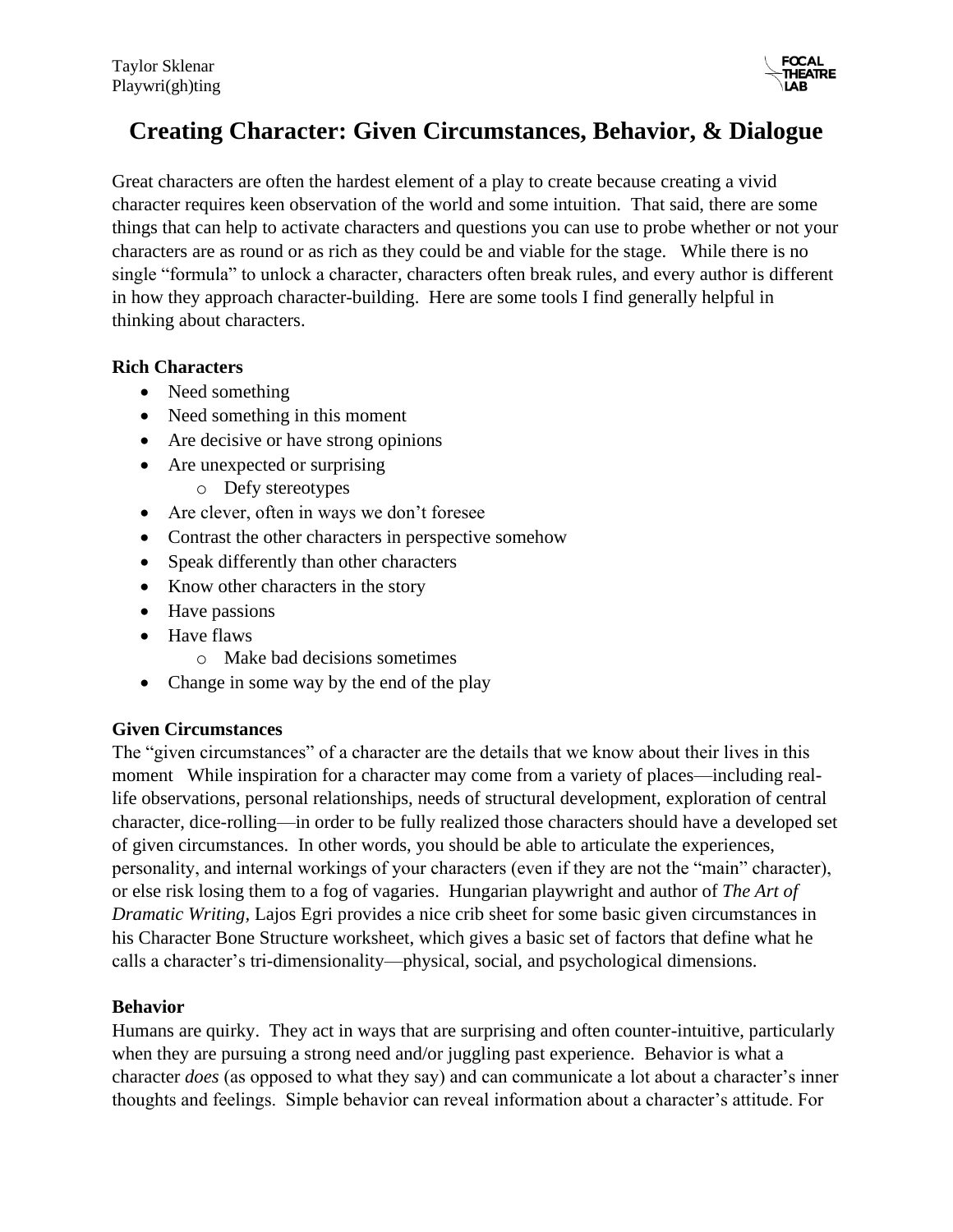

# **Creating Character: Given Circumstances, Behavior, & Dialogue**

Great characters are often the hardest element of a play to create because creating a vivid character requires keen observation of the world and some intuition. That said, there are some things that can help to activate characters and questions you can use to probe whether or not your characters are as round or as rich as they could be and viable for the stage. While there is no single "formula" to unlock a character, characters often break rules, and every author is different in how they approach character-building. Here are some tools I find generally helpful in thinking about characters.

#### **Rich Characters**

- Need something
- Need something in this moment
- Are decisive or have strong opinions
- Are unexpected or surprising
	- o Defy stereotypes
- Are clever, often in ways we don't foresee
- Contrast the other characters in perspective somehow
- Speak differently than other characters
- Know other characters in the story
- Have passions
- Have flaws
	- o Make bad decisions sometimes
- Change in some way by the end of the play

#### **Given Circumstances**

The "given circumstances" of a character are the details that we know about their lives in this moment While inspiration for a character may come from a variety of places—including reallife observations, personal relationships, needs of structural development, exploration of central character, dice-rolling—in order to be fully realized those characters should have a developed set of given circumstances. In other words, you should be able to articulate the experiences, personality, and internal workings of your characters (even if they are not the "main" character), or else risk losing them to a fog of vagaries. Hungarian playwright and author of *The Art of Dramatic Writing,* Lajos Egri provides a nice crib sheet for some basic given circumstances in his Character Bone Structure worksheet, which gives a basic set of factors that define what he calls a character's tri-dimensionality—physical, social, and psychological dimensions.

#### **Behavior**

Humans are quirky. They act in ways that are surprising and often counter-intuitive, particularly when they are pursuing a strong need and/or juggling past experience. Behavior is what a character *does* (as opposed to what they say) and can communicate a lot about a character's inner thoughts and feelings. Simple behavior can reveal information about a character's attitude. For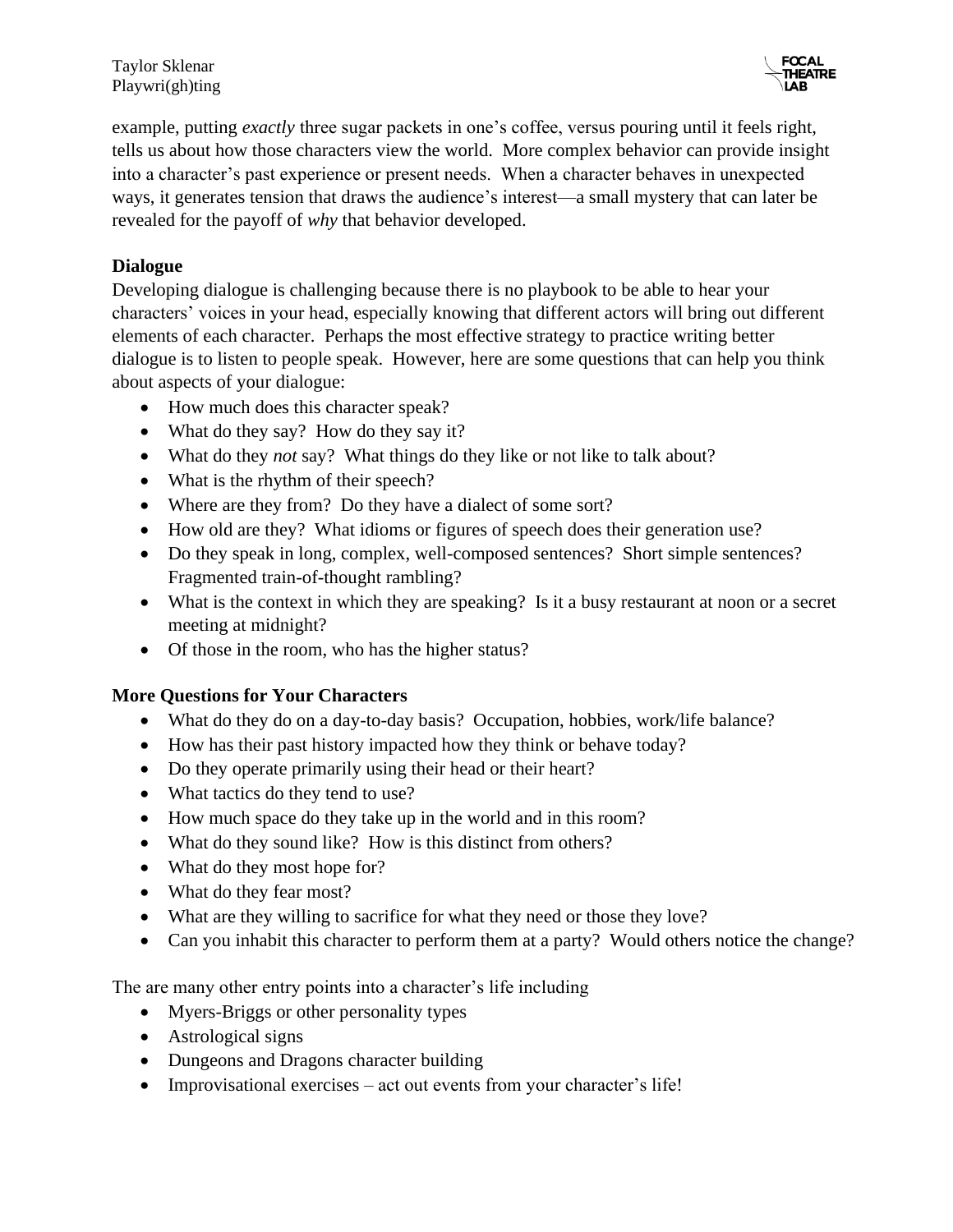Taylor Sklenar Playwri(gh)ting

example, putting *exactly* three sugar packets in one's coffee, versus pouring until it feels right, tells us about how those characters view the world. More complex behavior can provide insight into a character's past experience or present needs. When a character behaves in unexpected ways, it generates tension that draws the audience's interest—a small mystery that can later be revealed for the payoff of *why* that behavior developed.

#### **Dialogue**

Developing dialogue is challenging because there is no playbook to be able to hear your characters' voices in your head, especially knowing that different actors will bring out different elements of each character. Perhaps the most effective strategy to practice writing better dialogue is to listen to people speak. However, here are some questions that can help you think about aspects of your dialogue:

- How much does this character speak?
- What do they say? How do they say it?
- What do they *not* say? What things do they like or not like to talk about?
- What is the rhythm of their speech?
- Where are they from? Do they have a dialect of some sort?
- How old are they? What idioms or figures of speech does their generation use?
- Do they speak in long, complex, well-composed sentences? Short simple sentences? Fragmented train-of-thought rambling?
- What is the context in which they are speaking? Is it a busy restaurant at noon or a secret meeting at midnight?
- Of those in the room, who has the higher status?

#### **More Questions for Your Characters**

- What do they do on a day-to-day basis? Occupation, hobbies, work/life balance?
- How has their past history impacted how they think or behave today?
- Do they operate primarily using their head or their heart?
- What tactics do they tend to use?
- How much space do they take up in the world and in this room?
- What do they sound like? How is this distinct from others?
- What do they most hope for?
- What do they fear most?
- What are they willing to sacrifice for what they need or those they love?
- Can you inhabit this character to perform them at a party? Would others notice the change?

The are many other entry points into a character's life including

- Myers-Briggs or other personality types
- Astrological signs
- Dungeons and Dragons character building
- Improvisational exercises act out events from your character's life!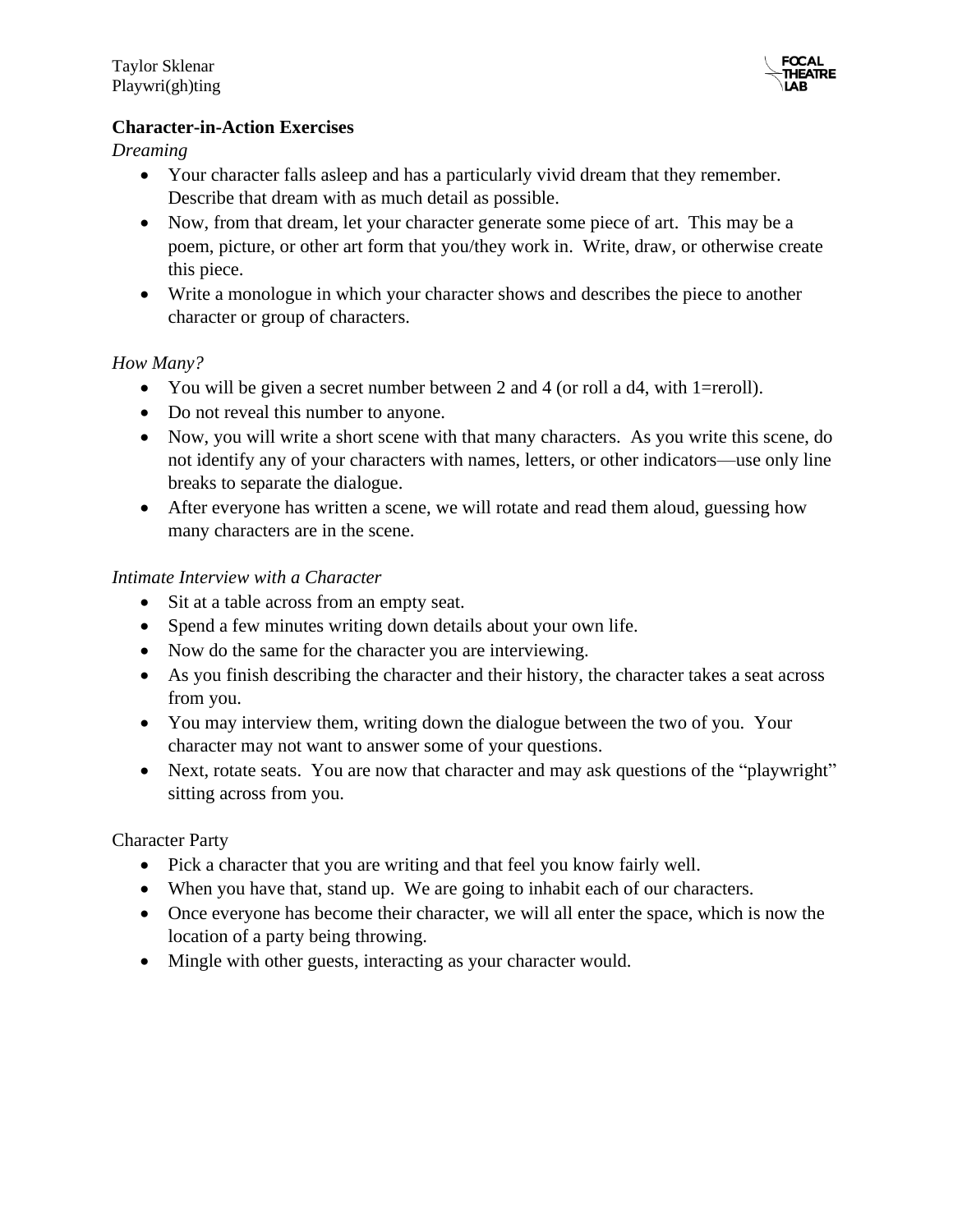

#### **Character-in-Action Exercises**

*Dreaming* 

- Your character falls as leep and has a particularly vivid dream that they remember. Describe that dream with as much detail as possible.
- Now, from that dream, let your character generate some piece of art. This may be a poem, picture, or other art form that you/they work in. Write, draw, or otherwise create this piece.
- Write a monologue in which your character shows and describes the piece to another character or group of characters.

#### *How Many?*

- You will be given a secret number between 2 and 4 (or roll a d4, with 1=reroll).
- Do not reveal this number to anyone.
- Now, you will write a short scene with that many characters. As you write this scene, do not identify any of your characters with names, letters, or other indicators—use only line breaks to separate the dialogue.
- After everyone has written a scene, we will rotate and read them aloud, guessing how many characters are in the scene.

#### *Intimate Interview with a Character*

- Sit at a table across from an empty seat.
- Spend a few minutes writing down details about your own life.
- Now do the same for the character you are interviewing.
- As you finish describing the character and their history, the character takes a seat across from you.
- You may interview them, writing down the dialogue between the two of you. Your character may not want to answer some of your questions.
- Next, rotate seats. You are now that character and may ask questions of the "playwright" sitting across from you.

#### Character Party

- Pick a character that you are writing and that feel you know fairly well.
- When you have that, stand up. We are going to inhabit each of our characters.
- Once everyone has become their character, we will all enter the space, which is now the location of a party being throwing.
- Mingle with other guests, interacting as your character would.